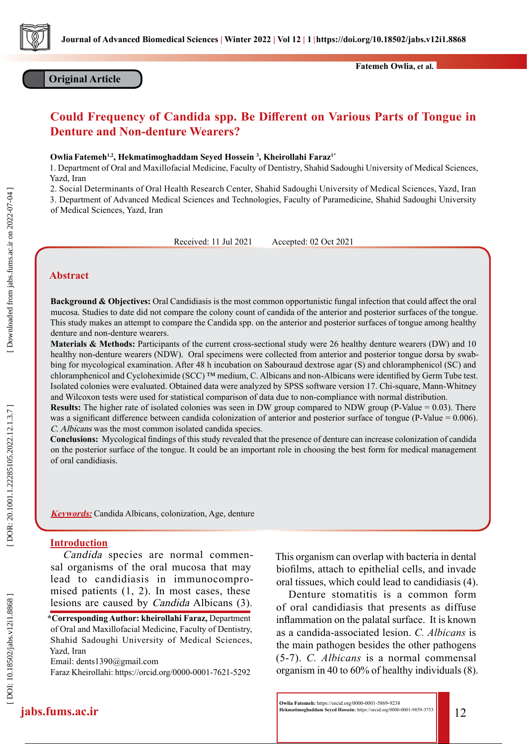

# **Original Article**

# **Could Frequency of Candida spp. Be Different on Various Parts of Tongue in Denture and Non-denture Wearers?**

#### **OwliaFatemeh1,2, Hekmatimoghaddam Seyed Hossein 3 , Kheirollahi Faraz1\***

1. Department of Oral and Maxillofacial Medicine, Faculty of Dentistry, Shahid Sadoughi University of Medical Sciences, Yazd, Iran

2. Social Determinants of Oral Health Research Center, Shahid Sadoughi University of Medical Sciences, Yazd, Iran

3. Department of Advanced Medical Sciences and Technologies, Faculty of Paramedicine, Shahid Sadoughi University of Medical Sciences, Yazd, Iran

Received: 11 Jul 2021 Accepted: 02 Oct 2021

## **Abstract**

**Background & Objectives:** Oral Candidiasis is the most common opportunistic fungal infection that could affect the oral mucosa. Studies to date did not compare the colony count of candida of the anterior and posterior surfaces of the tongue. This study makes an attempt to compare the Candida spp. on the anterior and posterior surfaces of tongue among healthy denture and non-denture wearers.

**Materials & Methods:** Participants of the current cross-sectional study were 26 healthy denture wearers (DW) and 10 healthy non-denture wearers (NDW). Oral specimens were collected from anterior and posterior tongue dorsa by swabbing for mycological examination. After 48 h incubation on Sabouraud dextrose agar (S) and chloramphenicol (SC) and chloramphenicol and Cycloheximide (SCC) ™ medium, C. Albicans and non-Albicans were identified by Germ Tube test. Isolated colonies were evaluated. Obtained data were analyzed by SPSS software version 17. Chi-square, Mann-Whitney and Wilcoxon tests were used for statistical comparison of data due to non-compliance with normal distribution.

**Results:** The higher rate of isolated colonies was seen in DW group compared to NDW group (P-Value = 0.03). There was a significant difference between candida colonization of anterior and posterior surface of tongue (P-Value = 0.006). C. Albicans was the most common isolated candida species.

**Conclusions:** Mycological findings of this study revealed that the presence of denture can increase colonization of candida on the posterior surface of the tongue. It could be an important role in choosing the best form for medical management of oral candidiasis.

**Keywords:** Candida Albicans, colonization, Age, denture

#### **Introduction**

Candida species are normal commensal organisms of the oral mucosa that may lead to candidiasis in immunocompro mised patients (1, 2). In most cases, these lesions are caused by Candida Albicans (3).

**\*Corresponding Author: kheirollahi Faraz,** Department of Oral and Maxillofacial Medicine, Faculty of Dentistry, Shahid Sadoughi University of Medical Sciences, Yazd, Iran

Email: dents1390@gmail.com

Faraz Kheirollahi: https://orcid.org/0000-0001-7621-5292

This organism can overlap with bacteria in dental biofilms, attach to epithelial cells, and invade oral tissues, which could lead to candidiasis (4).

Denture stomatitis is a common form of oral candidiasis that presents as diffuse inflammation on the palatal surface. It is known as a candida-associated lesion. *C. Albicans* is the main pathogen besides the other pathogens (5-7). *C. Albicans* is a normal commensal organism in 40 to 60% of healthy individuals (8).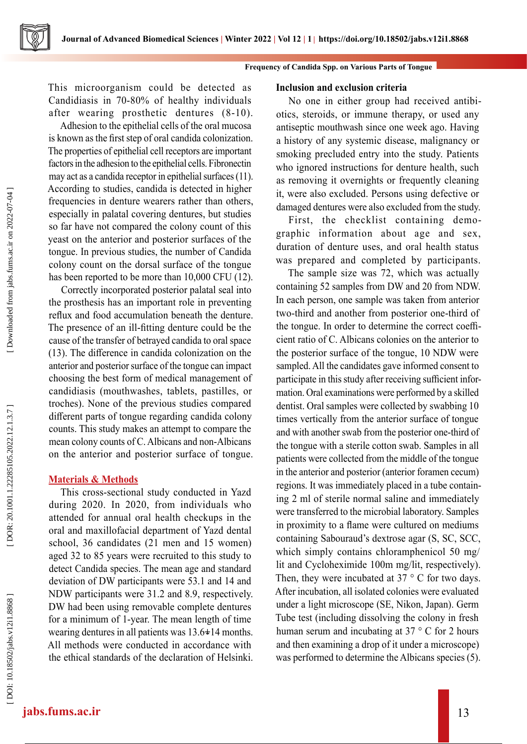

This microorganism could be detected as Candidiasis in 70-80% of healthy individuals after wearing prosthetic dentures (8-10).

Adhesion to the epithelial cells of the oral mucosa is known as the first step of oral candida colonization. The properties of epithelial cell receptors are important factors in the adhesion to the epithelial cells. Fibronectin may act as a candida receptor in epithelial surfaces (11). According to studies, candida is detected in higher frequencies in denture wearers rather than others, especially in palatal covering dentures, but studies so far have not compared the colony count of this yeast on the anterior and posterior surfaces of the tongue. In previous studies, the number of Candida colony count on the dorsal surface of the tongue has been reported to be more than 10,000 CFU (12).

Correctly incorporated posterior palatal seal into the prosthesis has an important role in preventing reflux and food accumulation beneath the denture. The presence of an ill-fitting denture could be the cause of the transfer of betrayed candida to oral space (13). The difference in candida colonization on the anterior and posterior surface of the tongue can impact choosing the best form of medical management of candidiasis (mouthwashes, tablets, pastilles, or troches). None of the previous studies compared different parts of tongue regarding candida colony counts. This study makes an attempt to compare the mean colony counts of C. Albicans and non-Albicans on the anterior and posterior surface of tongue.

# **Materials & Methods**

This cross-sectional study conducted in Yazd during 2020. In 2020, from individuals who attended for annual oral health checkups in the oral and maxillofacial department of Yazd dental school, 36 candidates (21 men and 15 women) aged 32 to 85 years were recruited to this study to detect Candida species. The mean age and standard deviation of DW participants were 53.1 and 14 and NDW participants were 31.2 and 8.9, respectively. DW had been using removable complete dentures for a minimum of 1-year. The mean length of time wearing dentures in all patients was 13.6 **+**14 months. - All methods were conducted in accordance with the ethical standards of the declaration of Helsinki.

### **Inclusion and exclusion criteria**

No one in either group had received antibi otics, steroids, or immune therapy, or used any antiseptic mouthwash since one week ago. Having a history of any systemic disease, malignancy or smoking precluded entry into the study. Patients who ignored instructions for denture health, such as removing it overnights or frequently cleaning it, were also excluded. Persons using defective or damaged dentures were also excluded from the study.

First, the checklist containing demo graphic information about age and sex, duration of denture uses, and oral health status was prepared and completed by participants.

The sample size was 72, which was actually containing 52 samples from DW and 20 from NDW. In each person, one sample was taken from anterior two-third and another from posterior one-third of the tongue. In order to determine the correct coeffi cient ratio of C. Albicans colonies on the anterior to the posterior surface of the tongue, 10 NDW were sampled. All the candidates gave informed consent to participate in this study after receiving sufficient information. Oral examinations were performed by a skilled dentist. Oral samples were collected by swabbing 10 times vertically from the anterior surface of tongue and with another swab from the posterior one-third of the tongue with a sterile cotton swab. Samples in all patients were collected from the middle of the tongue in the anterior and posterior (anterior foramen cecum) regions. It was immediately placed in a tube contain ing 2 ml of sterile normal saline and immediately were transferred to the microbial laboratory. Samples in proximity to a flame were cultured on mediums containing Sabouraud's dextrose agar (S, SC, SCC, which simply contains chloramphenicol 50 mg/ lit and Cycloheximide 100m mg/lit, respectively). Then, they were incubated at  $37 \degree$  C for two days. After incubation, all isolated colonies were evaluated under a light microscope (SE, Nikon, Japan). Germ Tube test (including dissolving the colony in fresh human serum and incubating at 37 ° C for 2 hours and then examining a drop of it under a microscope) was performed to determine the Albicans species (5) .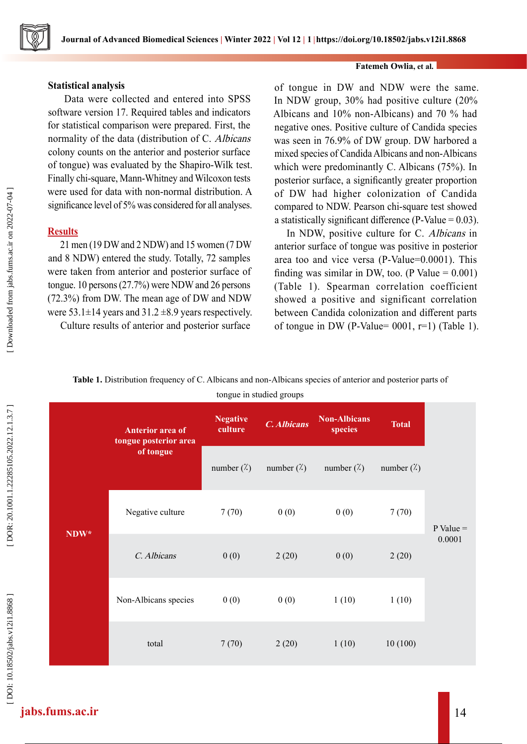

### **Statistical analysis**

 Data were collected and entered into SPSS software version 17. Required tables and indicators for statistical comparison were prepared. First, the normality of the data (distribution of C. Albicans colony counts on the anterior and posterior surface of tongue) was evaluated by the Shapiro-Wilk test. Finally chi-square, Mann-Whitney and Wilcoxon tests were used for data with non-normal distribution. A significance level of 5% was considered for all analyses.

# **Results**

21 men (19 DW and 2 NDW) and 15 women (7 DW and 8 NDW) entered the study. Totally, 72 samples were taken from anterior and posterior surface of tongue. 10 persons (27.7%) were NDW and 26 persons (72.3%) from DW. The mean age of DW and NDW were  $53.1 \pm 14$  years and  $31.2 \pm 8.9$  years respectively.

Culture results of anterior and posterior surface

of tongue in DW and NDW were the same. In NDW group, 30% had positive culture (20% Albicans and 10% non-Albicans) and 70 % had negative ones. Positive culture of Candida species was seen in 76.9% of DW group. DW harbored a mixed species of Candida Albicans and non-Albicans which were predominantly C. Albicans (75%). In posterior surface, a significantly greater proportion of DW had higher colonization of Candida compared to NDW. Pearson chi-square test showed a statistically significant difference (P-Value  $= 0.03$ ).

**Fatemeh Owlia, et al.**

In NDW, positive culture for C. Albicans in anterior surface of tongue was positive in posterior area too and vice versa (P-Value=0.0001). This finding was similar in DW, too. (P Value  $= 0.001$ ) (Table 1). Spearman correlation coefficient showed a positive and significant correlation between Candida colonization and different parts of tongue in DW (P-Value=  $0001$ , r=1) (Table 1).

#### **Table 1.** Distribution frequency of C. Albicans and non-Albicans species of anterior and posterior parts of

tongue in studied groups

| Downloaded from jabs.fums.ac.ir on 2022-07-04] | were used for data<br>significance level of<br><b>Results</b><br>21 men (19 DW a<br>and 8 NDW) enter<br>were taken from a<br>tongue. 10 persons (<br>(72.3%) from DW.<br>were 53.1±14 years<br>Culture results |    |
|------------------------------------------------|----------------------------------------------------------------------------------------------------------------------------------------------------------------------------------------------------------------|----|
|                                                | Table 1. Distr                                                                                                                                                                                                 |    |
| DOR: 20.1001.1.22285105.2022.12.1.3.7          |                                                                                                                                                                                                                | to |
|                                                | NDW*                                                                                                                                                                                                           |    |
|                                                |                                                                                                                                                                                                                |    |
|                                                |                                                                                                                                                                                                                |    |
| DOI: 10.18502/jabs.v12i1.8868                  |                                                                                                                                                                                                                |    |
|                                                |                                                                                                                                                                                                                |    |

|                          | Anterior area of<br>tongue posterior area | <b>Negative</b><br>culture | $C.$ Albicans      | <b>Non-Albicans</b><br>species | <b>Total</b>       |             |
|--------------------------|-------------------------------------------|----------------------------|--------------------|--------------------------------|--------------------|-------------|
|                          | of tongue                                 | number $(\lambda)$         | number $(\lambda)$ | number $(\lambda)$             | number $(\lambda)$ |             |
| $\mathbf{D}\mathbf{W}^*$ | Negative culture                          | 7(70)                      | 0(0)               | 0(0)                           | 7(70)              | $P Value =$ |
|                          | C. Albicans                               | 0(0)                       | 2(20)              | 0(0)                           | 2(20)              | 0.0001      |
|                          | Non-Albicans species                      | 0(0)                       | 0(0)               | 1(10)                          | 1(10)              |             |
|                          | total                                     | 7(70)                      | 2(20)              | 1(10)                          | 10(100)            |             |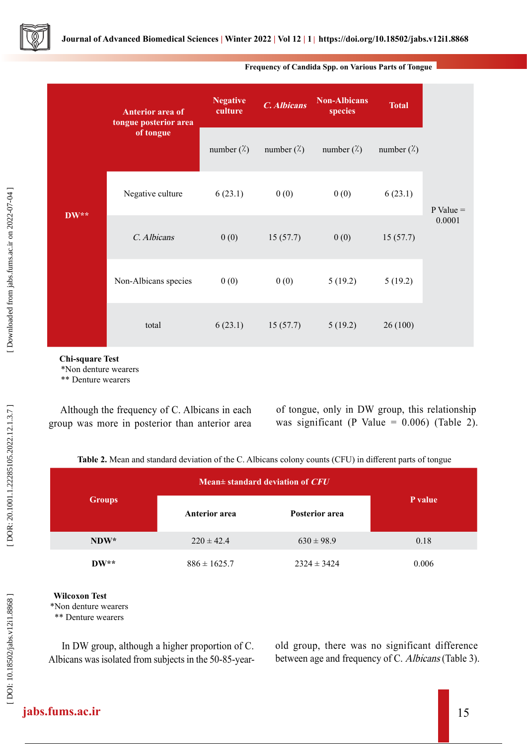

|                             | <b>Anterior area of</b><br>tongue posterior area | <b>Negative</b><br>culture | $\overline{C}$ . Albicans | <b>Non-Albicans</b><br>species | <b>Total</b>       |             |
|-----------------------------|--------------------------------------------------|----------------------------|---------------------------|--------------------------------|--------------------|-------------|
| $\mathbf{D}\mathbf{W}^{**}$ | of tongue                                        | number $(\lambda)$         | number $(\lambda)$        | number $(\lambda)$             | number $(\lambda)$ |             |
|                             | Negative culture                                 | 6(23.1)                    | 0(0)                      | 0(0)                           | 6(23.1)            | $P Value =$ |
|                             | C. Albicans                                      | 0(0)                       | 15(57.7)                  | 0(0)                           | 15(57.7)           | 0.0001      |
|                             | Non-Albicans species                             | 0(0)                       | 0(0)                      | 5(19.2)                        | 5(19.2)            |             |
|                             | total                                            | 6(23.1)                    | 15(57.7)                  | 5(19.2)                        | 26(100)            |             |

#### **Frequency of Candida Spp. on Various Parts of Tongue**

 **Chi-square Test**

\*Non denture wearers

\*\* Denture wearers

Although the frequency of C. Albicans in each group was more in posterior than anterior area of tongue, only in DW group, this relationship was significant (P Value =  $0.006$ ) (Table 2).

**Table 2.** Mean and standard deviation of the C. Albicans colony counts (CFU) in different parts of tongue

|                             | Mean $\pm$ standard deviation of $CFU$ |                 |         |
|-----------------------------|----------------------------------------|-----------------|---------|
| <b>Groups</b>               | <b>Anterior</b> area                   | Posterior area  | P value |
| $NDW^*$                     | $220 \pm 42.4$                         | $630 \pm 98.9$  | 0.18    |
| $\mathbf{D}\mathbf{W}^{**}$ | $886 \pm 1625.7$                       | $2324 \pm 3424$ | 0.006   |

#### **Wilcoxon Test**

\*\* Denture wearers

In DW group, although a higher proportion of C. Albicans was isolated from subjects in the 50-85-year-**Example 19**<br>
\*Non denture wearers<br>
\*\* Denture wearers<br>
\*\* Denture wearers<br>
10 DW group, alt<br>
Albicans was isolated<br>  $\frac{35}{2}$ 

old group, there was no significant difference between age and frequency of C. Albicans (Table 3).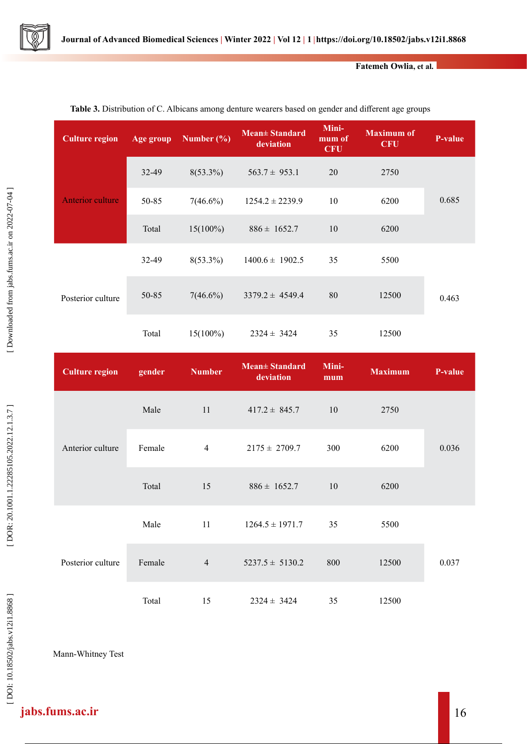

#### **Fatemeh Owlia, et al.**

| <b>Culture region</b> | Age group | Number $(\% )$ | Mean± Standard<br>deviation | Mini-<br>mum of<br><b>CFU</b> | <b>Maximum of</b><br><b>CFU</b> | <b>P-value</b> |
|-----------------------|-----------|----------------|-----------------------------|-------------------------------|---------------------------------|----------------|
| Anterior culture      | 32-49     | $8(53.3\%)$    | $563.7 \pm 953.1$           | 20                            | 2750                            |                |
|                       | 50-85     | $7(46.6\%)$    | $1254.2 \pm 2239.9$         | 10                            | 6200                            | 0.685          |
|                       | Total     | $15(100\%)$    | $886 \pm 1652.7$            | 10                            | 6200                            |                |
| Posterior culture     | 32-49     | $8(53.3\%)$    | $1400.6 \pm 1902.5$         | 35                            | 5500                            | 0.463          |
|                       | 50-85     | $7(46.6\%)$    | $3379.2 \pm 4549.4$         | 80                            | 12500                           |                |
|                       | Total     | $15(100\%)$    | $2324 \pm 3424$             | 35                            | 12500                           |                |

#### **Table 3.** Distribution of C. Albicans among denture wearers based on gender and different age groups

| <b>Culture region</b> | gender | <b>Number</b>  | <b>Mean</b> + Standard<br>deviation | Mini-<br>mum | <b>Maximum</b> | <b>P-value</b> |
|-----------------------|--------|----------------|-------------------------------------|--------------|----------------|----------------|
| Anterior culture      | Male   | 11             | $417.2 \pm 845.7$                   | 10           | 2750           |                |
|                       | Female | $\overline{4}$ | $2175 \pm 2709.7$                   | 300          | 6200           | 0.036          |
|                       | Total  | 15             | $886 \pm 1652.7$                    | 10           | 6200           |                |
| Posterior culture     | Male   | 11             | $1264.5 \pm 1971.7$                 | 35           | 5500           |                |
|                       | Female | $\overline{4}$ | $5237.5 \pm 5130.2$                 | 800          | 12500          | 0.037          |
|                       | Total  | 15             | $2324 \pm 3424$                     | 35           | 12500          |                |

Mann-Whitney Test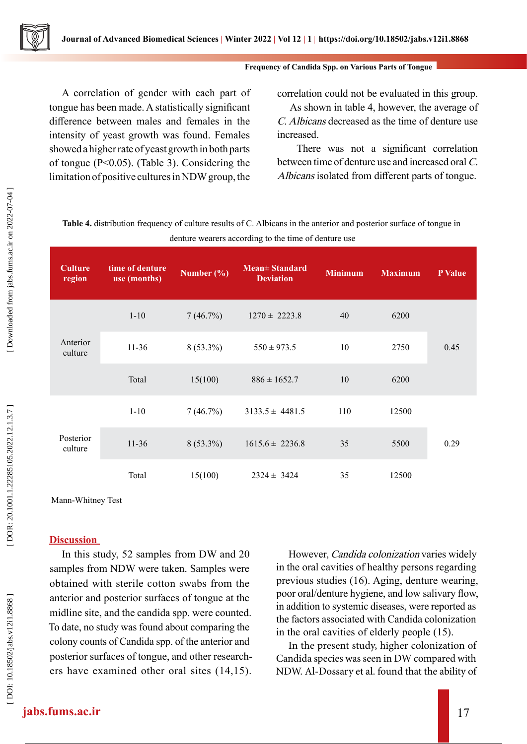#### **Frequency of Candida Spp. on Various Parts of Tongue**

A correlation of gender with each part of tongue has been made. A statistically significant difference between males and females in the intensity of yeast growth was found. Females showed a higher rate of yeast growth in both parts of tongue (P<0.05). (Table 3). Considering the limitation of positive cultures in NDW group, the

correlation could not be evaluated in this group.

As shown in table 4, however, the average of C. Albicans decreased as the time of denture use increased.

 There was not a significant correlation between time of denture use and increased oral C. Albicans isolated from different parts of tongue.

**Table 4.** distribution frequency of culture results of C. Albicans in the anterior and posterior surface of tongue in denture wearers according to the time of denture use

| <b>Culture</b><br>region | time of denture<br>use (months) | Number $(\% )$ | Mean± Standard<br><b>Deviation</b> | <b>Minimum</b> | <b>Maximum</b> | <b>P</b> Value |
|--------------------------|---------------------------------|----------------|------------------------------------|----------------|----------------|----------------|
| Anterior<br>culture      | $1-10$                          | 7(46.7%)       | $1270 \pm 2223.8$                  | 40             | 6200           |                |
|                          | $11-36$                         | $8(53.3\%)$    | $550 \pm 973.5$                    | 10             | 2750           | 0.45           |
|                          | Total                           | 15(100)        | $886 \pm 1652.7$                   | 10             | 6200           |                |
| Posterior<br>culture     | $1 - 10$                        | 7(46.7%)       | $3133.5 \pm 4481.5$                | 110            | 12500          |                |
|                          | $11-36$                         | $8(53.3\%)$    | $1615.6 \pm 2236.8$                | 35             | 5500           | 0.29           |
|                          | Total                           | 15(100)        | $2324 \pm 3424$                    | 35             | 12500          |                |

Mann-Whitney Test

## **Discussion**

In this study, 52 samples from DW and 20 samples from NDW were taken. Samples were obtained with sterile cotton swabs from the anterior and posterior surfaces of tongue at the midline site, and the candida spp. were counted. To date, no study was found about comparing the colony counts of Candida spp. of the anterior and posterior surfaces of tongue, and other research ers have examined other oral sites (14,15).

However, Candida colonization varies widely in the oral cavities of healthy persons regarding previous studies (16). Aging, denture wearing, poor oral/denture hygiene, and low salivary flow, in addition to systemic diseases, were reported as the factors associated with Candida colonization in the oral cavities of elderly people (15).

In the present study, higher colonization of Candida species was seen in DW compared with NDW. Al-Dossary et al. found that the ability of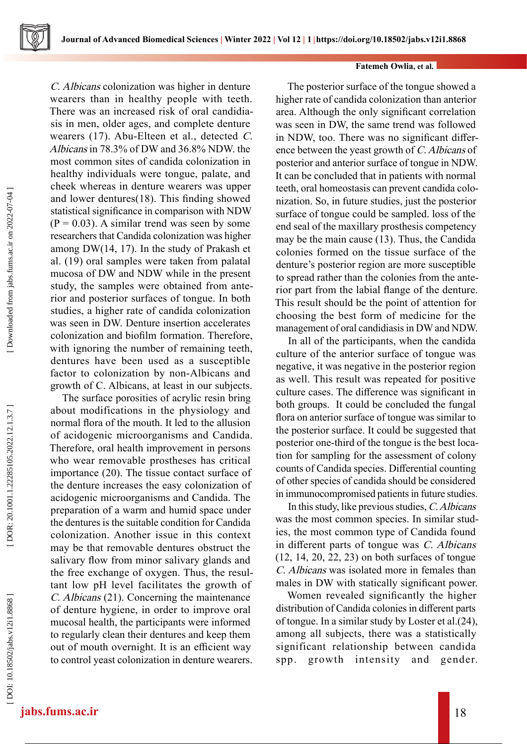#### **Fatemeh Owlia, et al.**

C. Albicans colonization was higher in denture wearers than in healthy people with teeth. There was an increased risk of oral candidia sis in men, older ages, and complete denture wearers (17). Abu-Elteen et al., detected C. Albicans in 78.3% of DW and 36.8% NDW. the most common sites of candida colonization in healthy individuals were tongue, palate, and cheek whereas in denture wearers was upper and lower dentures(18). This finding showed statistical significance in comparison with NDW  $(P = 0.03)$ . A similar trend was seen by some researchers that Candida colonization was higher among DW(14, 17). In the study of Prakash et al. (19) oral samples were taken from palatal mucosa of DW and NDW while in the present study, the samples were obtained from ante rior and posterior surfaces of tongue. In both studies, a higher rate of candida colonization was seen in DW. Denture insertion accelerates colonization and biofilm formation. Therefore, with ignoring the number of remaining teeth, dentures have been used as a susceptible factor to colonization by non-Albicans and growth of C. Albicans, at least in our subjects.

The surface porosities of acrylic resin bring about modifications in the physiology and normal flora of the mouth. It led to the allusion of acidogenic microorganisms and Candida. Therefore, oral health improvement in persons who wear removable prostheses has critical importance (20). The tissue contact surface of the denture increases the easy colonization of acidogenic microorganisms and Candida. The preparation of a warm and humid space under the dentures is the suitable condition for Candida colonization. Another issue in this context may be that removable dentures obstruct the salivary flow from minor salivary glands and the free exchange of oxygen. Thus, the resul tant low pH level facilitates the growth of C. Albicans (21). Concerning the maintenance of denture hygiene, in order to improve oral mucosal health, the participants were informed to regularly clean their dentures and keep them out of mouth overnight. It is an efficient way to control yeast colonization in denture wearers.

The posterior surface of the tongue showed a higher rate of candida colonization than anterior area. Although the only significant correlation was seen in DW, the same trend was followed in NDW, too. There was no significant differ ence between the yeast growth of C. Albicans of posterior and anterior surface of tongue in NDW. It can be concluded that in patients with normal teeth, oral homeostasis can prevent candida colo nization. So, in future studies, just the posterior surface of tongue could be sampled. loss of the end seal of the maxillary prosthesis competency may be the main cause (13). Thus, the Candida colonies formed on the tissue surface of the denture's posterior region are more susceptible to spread rather than the colonies from the ante rior part from the labial flange of the denture. This result should be the point of attention for choosing the best form of medicine for the management of oral candidiasis in DW and NDW.

In all of the participants, when the candida culture of the anterior surface of tongue was negative, it was negative in the posterior region as well. This result was repeated for positive culture cases. The difference was significant in both groups. It could be concluded the fungal flora on anterior surface of tongue was similar to the posterior surface. It could be suggested that posterior one-third of the tongue is the best loca tion for sampling for the assessment of colony counts of Candida species. Differential counting of other species of candida should be considered in immunocompromised patients in future studies.

In this study, like previous studies, C. Albicans was the most common species. In similar stud ies, the most common type of Candida found in different parts of tongue was C. Albicans (12, 14, 20, 22, 23) on both surfaces of tongue C. Albicans was isolated more in females than males in DW with statically significant power.

Women revealed significantly the higher distribution of Candida colonies in different parts of tongue. In a similar study by Loster et al.(24), among all subjects, there was a statistically significant relationship between candida spp. growth intensity and gender.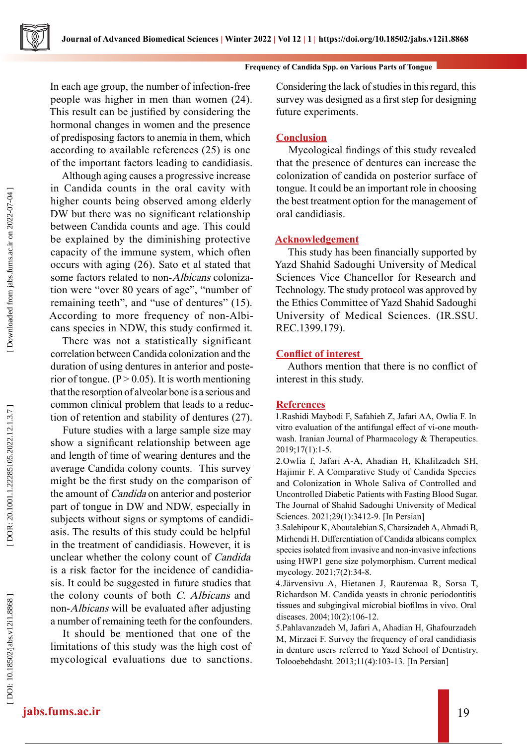#### **Frequency of Candida Spp. on Various Parts of Tongue**

In each age group, the number of infection-free people was higher in men than women (24). This result can be justified by considering the hormonal changes in women and the presence of predisposing factors to anemia in them, which according to available references (25) is one of the important factors leading to candidiasis.

Although aging causes a progressive increase in Candida counts in the oral cavity with higher counts being observed among elderly DW but there was no significant relationship between Candida counts and age. This could be explained by the diminishing protective capacity of the immune system, which often occurs with aging (26). Sato et al stated that some factors related to non-Albicans colonization were "over 80 years of age", "number of remaining teeth", and "use of dentures" (15). According to more frequency of non-Albi cans species in NDW, this study confirmed it.

There was not a statistically significant correlation between Candida colonization and the duration of using dentures in anterior and poste rior of tongue. ( $P > 0.05$ ). It is worth mentioning that the resorption of alveolar bone is a serious and common clinical problem that leads to a reduc tion of retention and stability of dentures (27).

Future studies with a large sample size may show a significant relationship between age and length of time of wearing dentures and the average Candida colony counts. This survey might be the first study on the comparison of the amount of Candida on anterior and posterior part of tongue in DW and NDW, especially in subjects without signs or symptoms of candidi asis. The results of this study could be helpful in the treatment of candidiasis. However, it is unclear whether the colony count of Candida is a risk factor for the incidence of candidia sis. It could be suggested in future studies that the colony counts of both C. Albicans and non-Albicans will be evaluated after adjusting a number of remaining teeth for the confounders.

It should be mentioned that one of the limitations of this study was the high cost of mycological evaluations due to sanctions. Considering the lack of studies in this regard, this survey was designed as a first step for designing future experiments.

# **Conclusion**

Mycological findings of this study revealed that the presence of dentures can increase the colonization of candida on posterior surface of tongue. It could be an important role in choosing the best treatment option for the management of oral candidiasis.

### **Acknowledgement**

This study has been financially supported by Yazd Shahid Sadoughi University of Medical Sciences Vice Chancellor for Research and Technology. The study protocol was approved by the Ethics Committee of Yazd Shahid Sadoughi University of Medical Sciences. (IR.SSU. REC.1399.179).

### **Conflict of interest**

Authors mention that there is no conflict of interest in this study.

### **References**

1.Rashidi Maybodi F, Safahieh Z, Jafari AA, Owlia F. In vitro evaluation of the antifungal effect of vi-one mouth wash. Iranian Journal of Pharmacology & Therapeutics. 2019;17(1):1-5.

2.Owlia f, Jafari A-A, Ahadian H, Khalilzadeh SH, Hajimir F. A Comparative Study of Candida Species and Colonization in Whole Saliva of Controlled and Uncontrolled Diabetic Patients with Fasting Blood Sugar. The Journal of Shahid Sadoughi University of Medical Sciences. 2021;29(1):3412-9. [In Persian]

3.Salehipour K, Aboutalebian S, Charsizadeh A, Ahmadi B, Mirhendi H. Differentiation of Candida albicans complex species isolated from invasive and non-invasive infections using HWP1 gene size polymorphism. Current medical mycology. 2021;7(2):34-8.

4.Järvensivu A, Hietanen J, Rautemaa R, Sorsa T, Richardson M. Candida yeasts in chronic periodontitis tissues and subgingival microbial biofilms in vivo. Oral diseases. 2004;10(2):106-12.

5.Pahlavanzadeh M, Jafari A, Ahadian H, Ghafourzadeh M, Mirzaei F. Survey the frequency of oral candidiasis in denture users referred to Yazd School of Dentistry. Tolooebehdasht. 2013;11(4):103-13. [In Persian]